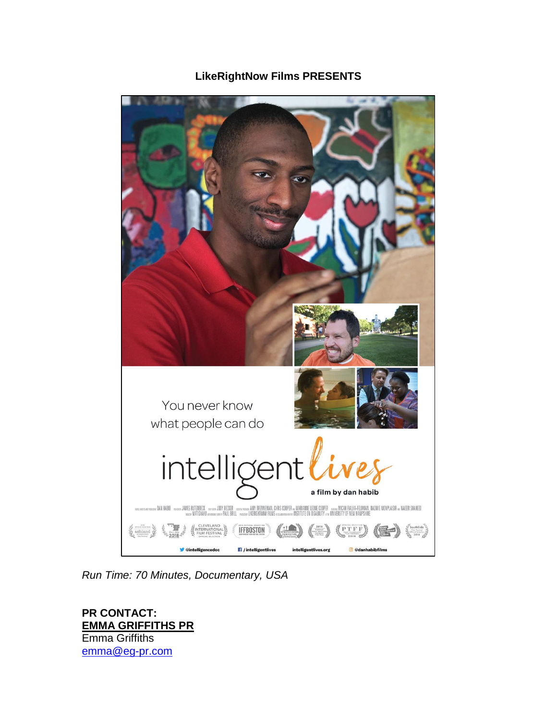# **LikeRightNow Films PRESENTS**



*Run Time: 70 Minutes, Documentary, USA* 

**PR CONTACT: EMMA GRIFFITHS PR**  Emma Griffiths [emma@eg-pr.com](mailto:emma@eg-pr.com)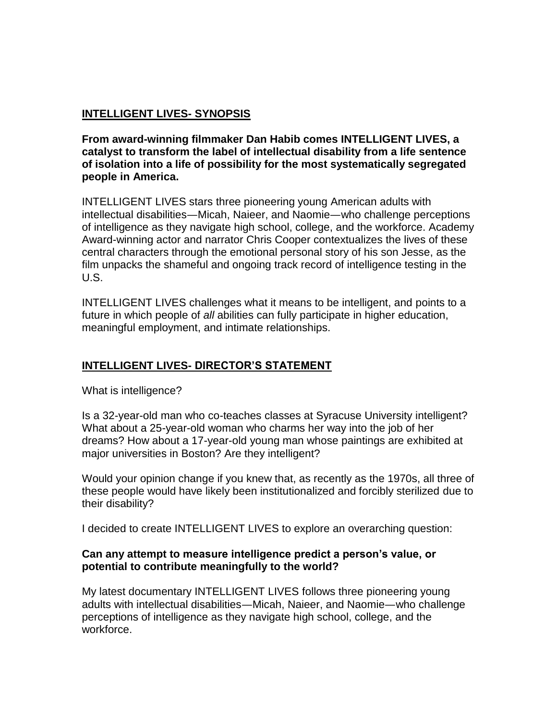### **INTELLIGENT LIVES- SYNOPSIS**

**From award-winning filmmaker Dan Habib comes INTELLIGENT LIVES, a catalyst to transform the label of intellectual disability from a life sentence of isolation into a life of possibility for the most systematically segregated people in America.**

INTELLIGENT LIVES stars three pioneering young American adults with intellectual disabilities—Micah, Naieer, and Naomie—who challenge perceptions of intelligence as they navigate high school, college, and the workforce. Academy Award-winning actor and narrator Chris Cooper contextualizes the lives of these central characters through the emotional personal story of his son Jesse, as the film unpacks the shameful and ongoing track record of intelligence testing in the U.S.

INTELLIGENT LIVES challenges what it means to be intelligent, and points to a future in which people of *all* abilities can fully participate in higher education, meaningful employment, and intimate relationships.

#### **INTELLIGENT LIVES- DIRECTOR'S STATEMENT**

What is intelligence?

Is a 32-year-old man who co-teaches classes at Syracuse University intelligent? What about a 25-year-old woman who charms her way into the job of her dreams? How about a 17-year-old young man whose paintings are exhibited at major universities in Boston? Are they intelligent?

Would your opinion change if you knew that, as recently as the 1970s, all three of these people would have likely been institutionalized and forcibly sterilized due to their disability?

I decided to create INTELLIGENT LIVES to explore an overarching question:

#### **Can any attempt to measure intelligence predict a person's value, or potential to contribute meaningfully to the world?**

My latest documentary INTELLIGENT LIVES follows three pioneering young adults with intellectual disabilities—Micah, Naieer, and Naomie—who challenge perceptions of intelligence as they navigate high school, college, and the workforce.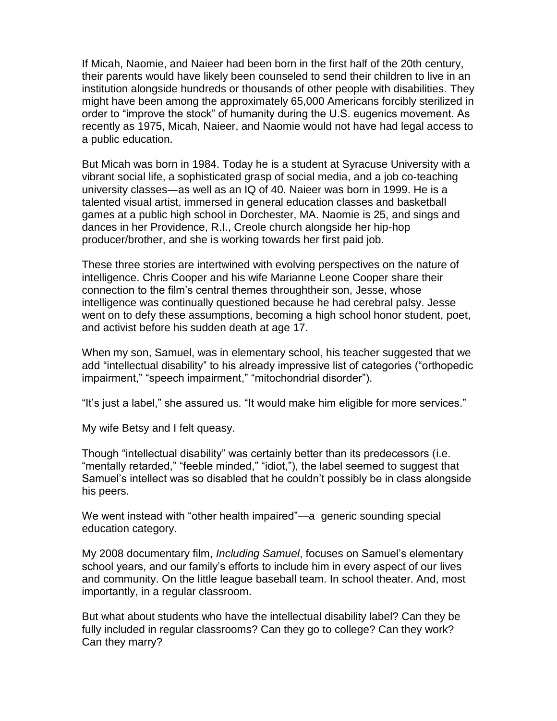If Micah, Naomie, and Naieer had been born in the first half of the 20th century, their parents would have likely been counseled to send their children to live in an institution alongside hundreds or thousands of other people with disabilities. They might have been among the approximately 65,000 Americans forcibly sterilized in order to "improve the stock" of humanity during the U.S. eugenics movement. As recently as 1975, Micah, Naieer, and Naomie would not have had legal access to a public education.

But Micah was born in 1984. Today he is a student at Syracuse University with a vibrant social life, a sophisticated grasp of social media, and a job co-teaching university classes—as well as an IQ of 40. Naieer was born in 1999. He is a talented visual artist, immersed in general education classes and basketball games at a public high school in Dorchester, MA. Naomie is 25, and sings and dances in her Providence, R.I., Creole church alongside her hip-hop producer/brother, and she is working towards her first paid job.

These three stories are intertwined with evolving perspectives on the nature of intelligence. Chris Cooper and his wife Marianne Leone Cooper share their connection to the film's central themes throughtheir son, Jesse, whose intelligence was continually questioned because he had cerebral palsy. Jesse went on to defy these assumptions, becoming a high school honor student, poet, and activist before his sudden death at age 17.

When my son, Samuel, was in elementary school, his teacher suggested that we add "intellectual disability" to his already impressive list of categories ("orthopedic impairment," "speech impairment," "mitochondrial disorder").

"It's just a label," she assured us. "It would make him eligible for more services."

My wife Betsy and I felt queasy.

Though "intellectual disability" was certainly better than its predecessors (i.e. "mentally retarded," "feeble minded," "idiot,"), the label seemed to suggest that Samuel's intellect was so disabled that he couldn't possibly be in class alongside his peers.

We went instead with "other health impaired"—a generic sounding special education category.

My 2008 documentary film, *Including Samuel*, focuses on Samuel's elementary school years, and our family's efforts to include him in every aspect of our lives and community. On the little league baseball team. In school theater. And, most importantly, in a regular classroom.

But what about students who have the intellectual disability label? Can they be fully included in regular classrooms? Can they go to college? Can they work? Can they marry?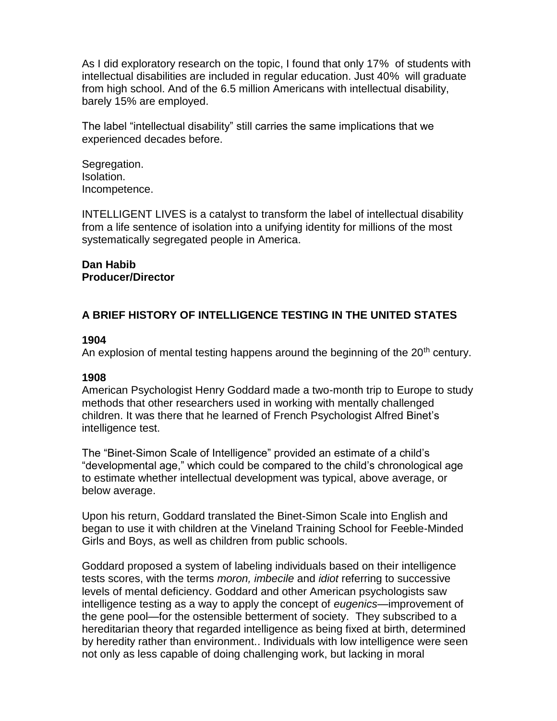As I did exploratory research on the topic, I found that only 17% of students with intellectual disabilities are included in regular education. Just 40% will graduate from high school. And of the 6.5 million Americans with intellectual disability, barely 15% are employed.

The label "intellectual disability" still carries the same implications that we experienced decades before.

Segregation. Isolation. Incompetence.

INTELLIGENT LIVES is a catalyst to transform the label of intellectual disability from a life sentence of isolation into a unifying identity for millions of the most systematically segregated people in America.

#### **Dan Habib Producer/Director**

# **A BRIEF HISTORY OF INTELLIGENCE TESTING IN THE UNITED STATES**

#### **1904**

An explosion of mental testing happens around the beginning of the  $20<sup>th</sup>$  century.

# **1908**

American Psychologist Henry Goddard made a two-month trip to Europe to study methods that other researchers used in working with mentally challenged children. It was there that he learned of French Psychologist Alfred Binet's intelligence test.

The "Binet-Simon Scale of Intelligence" provided an estimate of a child's "developmental age," which could be compared to the child's chronological age to estimate whether intellectual development was typical, above average, or below average.

Upon his return, Goddard translated the Binet-Simon Scale into English and began to use it with children at the Vineland Training School for Feeble-Minded Girls and Boys, as well as children from public schools.

Goddard proposed a system of labeling individuals based on their intelligence tests scores, with the terms *moron, imbecile* and *idiot* referring to successive levels of mental deficiency. Goddard and other American psychologists saw intelligence testing as a way to apply the concept of *eugenics*—improvement of the gene pool—for the ostensible betterment of society. They subscribed to a hereditarian theory that regarded intelligence as being fixed at birth, determined by heredity rather than environment.. Individuals with low intelligence were seen not only as less capable of doing challenging work, but lacking in moral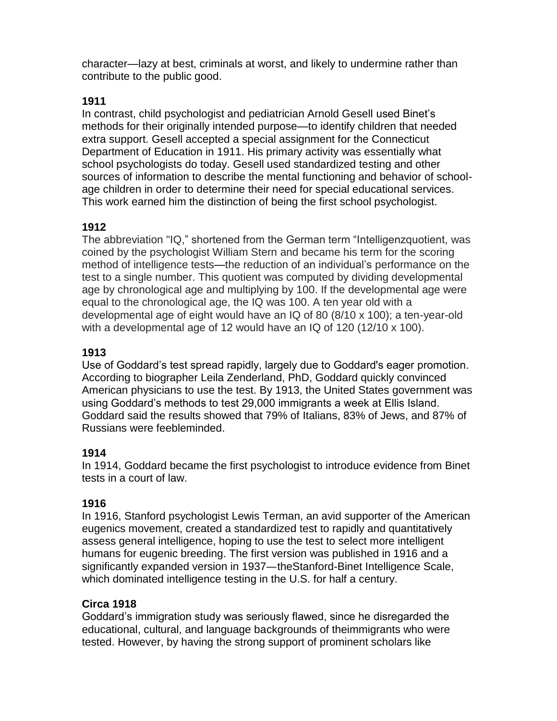character—lazy at best, criminals at worst, and likely to undermine rather than contribute to the public good.

# **1911**

In contrast, child psychologist and pediatrician Arnold Gesell used Binet's methods for their originally intended purpose—to identify children that needed extra support. Gesell accepted a special assignment for the Connecticut Department of Education in 1911. His primary activity was essentially what school psychologists do today. Gesell used standardized testing and other sources of information to describe the mental functioning and behavior of schoolage children in order to determine their need for special educational services. This work earned him the distinction of being the first school psychologist.

# **1912**

The abbreviation "IQ," shortened from the German term "Intelligenzquotient, was coined by the psychologist William Stern and became his term for the scoring method of intelligence tests—the reduction of an individual's performance on the test to a single number. This quotient was computed by dividing developmental age by chronological age and multiplying by 100. If the developmental age were equal to the chronological age, the IQ was 100. A ten year old with a developmental age of eight would have an IQ of 80 (8/10 x 100); a ten-year-old with a developmental age of 12 would have an IQ of 120 (12/10 x 100).

# **1913**

Use of Goddard's test spread rapidly, largely due to Goddard's eager promotion. According to biographer Leila Zenderland, PhD, Goddard quickly convinced American physicians to use the test. By 1913, the United States government was using Goddard's methods to test 29,000 immigrants a week at Ellis Island. Goddard said the results showed that 79% of Italians, 83% of Jews, and 87% of Russians were feebleminded.

# **1914**

In 1914, Goddard became the first psychologist to introduce evidence from Binet tests in a court of law.

# **1916**

In 1916, Stanford psychologist Lewis Terman, an avid supporter of the American eugenics movement, created a standardized test to rapidly and quantitatively assess general intelligence, hoping to use the test to select more intelligent humans for eugenic breeding. The first version was published in 1916 and a significantly expanded version in 1937—theStanford-Binet Intelligence Scale, which dominated intelligence testing in the U.S. for half a century.

# **Circa 1918**

Goddard's immigration study was seriously flawed, since he disregarded the educational, cultural, and language backgrounds of theimmigrants who were tested. However, by having the strong support of prominent scholars like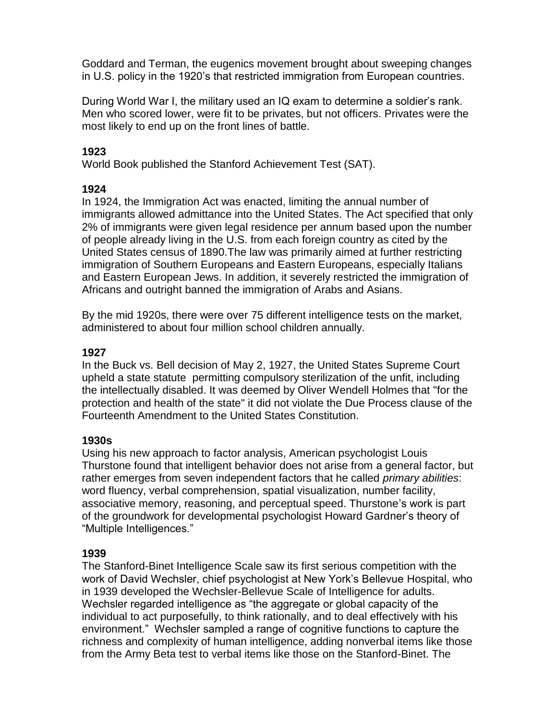Goddard and Terman, the eugenics movement brought about sweeping changes in U.S. policy in the 1920's that restricted immigration from European countries.

During World War I, the military used an IQ exam to determine a soldier's rank. Men who scored lower, were fit to be privates, but not officers. Privates were the most likely to end up on the front lines of battle.

# **1923**

World Book published the Stanford Achievement Test (SAT).

### **1924**

In 1924, the Immigration Act was enacted, limiting the annual number of immigrants allowed admittance into the United States. The Act specified that only 2% of immigrants were given legal residence per annum based upon the number of people already living in the U.S. from each foreign country as cited by the United States census of 1890.The law was primarily aimed at further restricting immigration of Southern Europeans and Eastern Europeans, especially Italians and Eastern European Jews. In addition, it severely restricted the immigration of Africans and outright banned the immigration of Arabs and Asians.

By the mid 1920s, there were over 75 different intelligence tests on the market, administered to about four million school children annually.

### **1927**

In the Buck vs. Bell decision of May 2, 1927, the United States Supreme Court upheld a state statute permitting compulsory sterilization of the unfit, including the intellectually disabled. It was deemed by Oliver Wendell Holmes that "for the protection and health of the state" it did not violate the Due Process clause of the Fourteenth Amendment to the United States Constitution.

#### **1930s**

Using his new approach to factor analysis, American psychologist Louis Thurstone found that intelligent behavior does not arise from a general factor, but rather emerges from seven independent factors that he called *primary abilities*: word fluency, verbal comprehension, spatial visualization, number facility, associative memory, reasoning, and perceptual speed. Thurstone's work is part of the groundwork for developmental psychologist Howard Gardner's theory of "Multiple Intelligences."

#### **1939**

The Stanford-Binet Intelligence Scale saw its first serious competition with the work of David Wechsler, chief psychologist at New York's Bellevue Hospital, who in 1939 developed the Wechsler-Bellevue Scale of Intelligence for adults. Wechsler regarded intelligence as "the aggregate or global capacity of the individual to act purposefully, to think rationally, and to deal effectively with his environment." Wechsler sampled a range of cognitive functions to capture the richness and complexity of human intelligence, adding nonverbal items like those from the Army Beta test to verbal items like those on the Stanford-Binet. The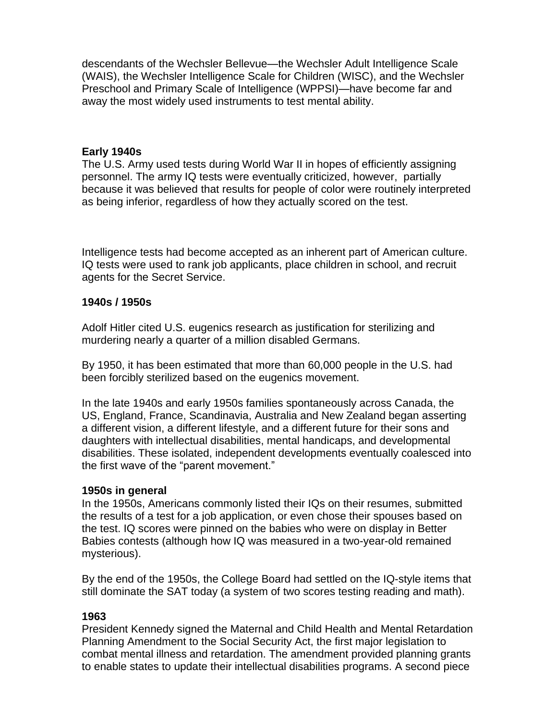descendants of the Wechsler Bellevue—the Wechsler Adult Intelligence Scale (WAIS), the Wechsler Intelligence Scale for Children (WISC), and the Wechsler Preschool and Primary Scale of Intelligence (WPPSI)—have become far and away the most widely used instruments to test mental ability.

#### **Early 1940s**

The U.S. Army used tests during World War II in hopes of efficiently assigning personnel. The army IQ tests were eventually criticized, however, partially because it was believed that results for people of color were routinely interpreted as being inferior, regardless of how they actually scored on the test.

Intelligence tests had become accepted as an inherent part of American culture. IQ tests were used to rank job applicants, place children in school, and recruit agents for the Secret Service.

#### **1940s / 1950s**

Adolf Hitler cited U.S. eugenics research as justification for sterilizing and murdering nearly a quarter of a million disabled Germans.

By 1950, it has been estimated that more than 60,000 people in the U.S. had been forcibly sterilized based on the eugenics movement.

In the late 1940s and early 1950s families spontaneously across Canada, the US, England, France, Scandinavia, Australia and New Zealand began asserting a different vision, a different lifestyle, and a different future for their sons and daughters with intellectual disabilities, mental handicaps, and developmental disabilities. These isolated, independent developments eventually coalesced into the first wave of the "parent movement."

#### **1950s in general**

In the 1950s, Americans commonly listed their IQs on their resumes, submitted the results of a test for a job application, or even chose their spouses based on the test. IQ scores were pinned on the babies who were on display in Better Babies contests (although how IQ was measured in a two-year-old remained mysterious).

By the end of the 1950s, the College Board had settled on the IQ-style items that still dominate the SAT today (a system of two scores testing reading and math).

#### **1963**

President Kennedy signed the Maternal and Child Health and Mental Retardation Planning Amendment to the Social Security Act, the first major legislation to combat mental illness and retardation. The amendment provided planning grants to enable states to update their intellectual disabilities programs. A second piece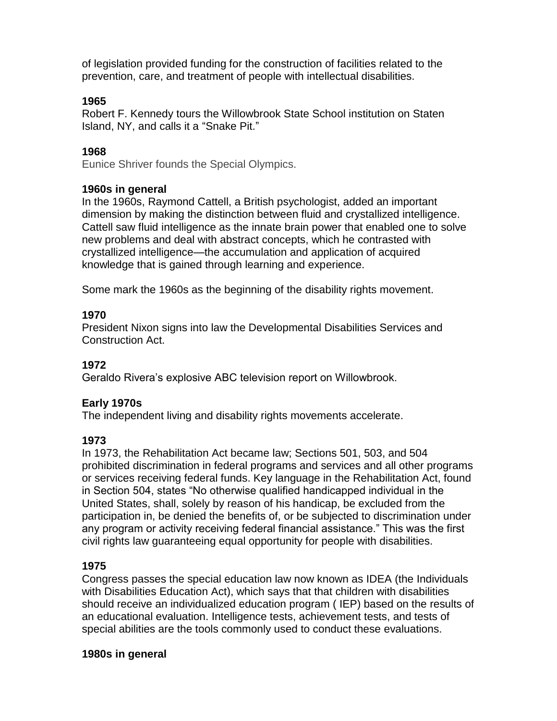of legislation provided funding for the construction of facilities related to the prevention, care, and treatment of people with intellectual disabilities.

#### **1965**

Robert F. Kennedy tours the Willowbrook State School institution on Staten Island, NY, and calls it a "Snake Pit."

### **1968**

Eunice Shriver founds the Special Olympics.

#### **1960s in general**

In the 1960s, Raymond Cattell, a British psychologist, added an important dimension by making the distinction between fluid and crystallized intelligence. Cattell saw fluid intelligence as the innate brain power that enabled one to solve new problems and deal with abstract concepts, which he contrasted with crystallized intelligence—the accumulation and application of acquired knowledge that is gained through learning and experience.

Some mark the 1960s as the beginning of the disability rights movement.

### **1970**

President Nixon signs into law the Developmental Disabilities Services and Construction Act.

#### **1972**

Geraldo Rivera's explosive ABC television report on Willowbrook.

#### **Early 1970s**

The independent living and disability rights movements accelerate.

#### **1973**

In 1973, the Rehabilitation Act became law; Sections 501, 503, and 504 prohibited discrimination in federal programs and services and all other programs or services receiving federal funds. Key language in the Rehabilitation Act, found in Section 504, states "No otherwise qualified handicapped individual in the United States, shall, solely by reason of his handicap, be excluded from the participation in, be denied the benefits of, or be subjected to discrimination under any program or activity receiving federal financial assistance." This was the first civil rights law guaranteeing equal opportunity for people with disabilities.

# **1975**

Congress passes the special education law now known as IDEA (the Individuals with Disabilities Education Act), which says that that children with disabilities should receive an individualized education program ( IEP) based on the results of an educational evaluation. Intelligence tests, achievement tests, and tests of special abilities are the tools commonly used to conduct these evaluations.

#### **1980s in general**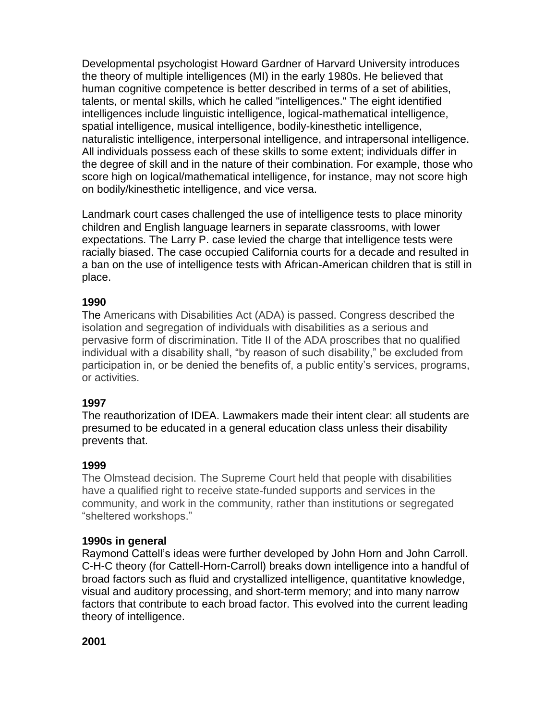Developmental psychologist Howard Gardner of Harvard University introduces the theory of multiple intelligences (MI) in the early 1980s. He believed that human cognitive competence is better described in terms of a set of abilities, talents, or mental skills, which he called "intelligences." The eight identified intelligences include linguistic intelligence, logical-mathematical intelligence, spatial intelligence, musical intelligence, bodily-kinesthetic intelligence, naturalistic intelligence, interpersonal intelligence, and intrapersonal intelligence. All individuals possess each of these skills to some extent; individuals differ in the degree of skill and in the nature of their combination. For example, those who score high on logical/mathematical intelligence, for instance, may not score high on bodily/kinesthetic intelligence, and vice versa.

Landmark court cases challenged the use of intelligence tests to place minority children and English language learners in separate classrooms, with lower expectations. The Larry P. case levied the charge that intelligence tests were racially biased. The case occupied California courts for a decade and resulted in a ban on the use of intelligence tests with African-American children that is still in place.

#### **1990**

The Americans with Disabilities Act (ADA) is passed. Congress described the isolation and segregation of individuals with disabilities as a serious and pervasive form of discrimination. Title II of the ADA proscribes that no qualified individual with a disability shall, "by reason of such disability," be excluded from participation in, or be denied the benefits of, a public entity's services, programs, or activities.

#### **1997**

The reauthorization of IDEA. Lawmakers made their intent clear: all students are presumed to be educated in a general education class unless their disability prevents that.

# **1999**

The Olmstead decision. The Supreme Court held that people with disabilities have a qualified right to receive state-funded supports and services in the community, and work in the community, rather than institutions or segregated "sheltered workshops."

#### **1990s in general**

Raymond Cattell's ideas were further developed by John Horn and John Carroll. C-H-C theory (for Cattell-Horn-Carroll) breaks down intelligence into a handful of broad factors such as fluid and crystallized intelligence, quantitative knowledge, visual and auditory processing, and short-term memory; and into many narrow factors that contribute to each broad factor. This evolved into the current leading theory of intelligence.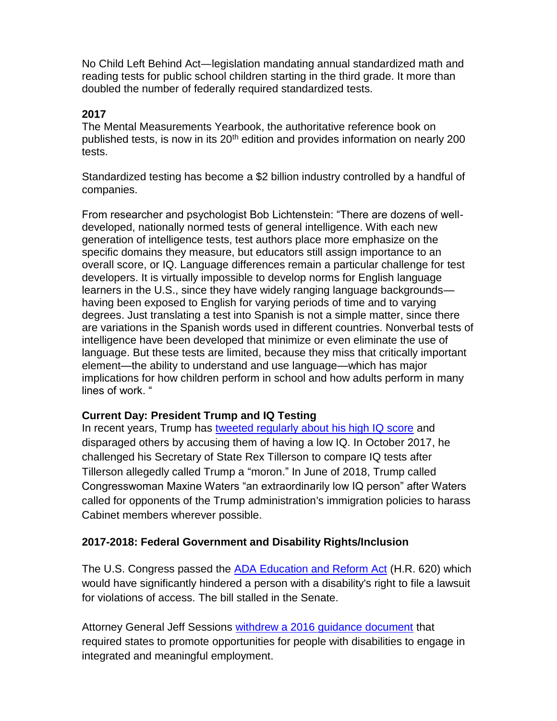No Child Left Behind Act—legislation mandating annual standardized math and reading tests for public school children starting in the third grade. It more than doubled the number of federally required standardized tests.

# **2017**

The Mental Measurements Yearbook, the authoritative reference book on published tests, is now in its  $20<sup>th</sup>$  edition and provides information on nearly 200 tests.

Standardized testing has become a \$2 billion industry controlled by a handful of companies.

From researcher and psychologist Bob Lichtenstein: "There are dozens of welldeveloped, nationally normed tests of general intelligence. With each new generation of intelligence tests, test authors place more emphasize on the specific domains they measure, but educators still assign importance to an overall score, or IQ. Language differences remain a particular challenge for test developers. It is virtually impossible to develop norms for English language learners in the U.S., since they have widely ranging language backgrounds having been exposed to English for varying periods of time and to varying degrees. Just translating a test into Spanish is not a simple matter, since there are variations in the Spanish words used in different countries. Nonverbal tests of intelligence have been developed that minimize or even eliminate the use of language. But these tests are limited, because they miss that critically important element—the ability to understand and use language—which has major implications for how children perform in school and how adults perform in many lines of work. "

# **Current Day: President Trump and IQ Testing**

In recent years, Trump has [tweeted regularly about his high IQ score](https://edition.cnn.com/2017/10/10/politics/donald-trump-tillerson-iq/index.html) and disparaged others by accusing them of having a low IQ. In October 2017, he challenged his Secretary of State Rex Tillerson to compare IQ tests after Tillerson allegedly called Trump a "moron." In June of 2018, Trump called Congresswoman Maxine Waters "an extraordinarily low IQ person" after Waters called for opponents of the Trump administration's immigration policies to harass Cabinet members wherever possible.

# **2017-2018: Federal Government and Disability Rights/Inclusion**

The U.S. Congress passed the [ADA Education and Reform Act](https://www.congress.gov/bill/115th-congress/house-bill/620) (H.R. 620) which would have significantly hindered a person with a disability's right to file a lawsuit for violations of access. The bill stalled in the Senate.

Attorney General Jeff Sessions [withdrew a 2016 guidance document](https://psmag.com/economics/jeff-sessions-roll-back-disability-rights) that required states to promote opportunities for people with disabilities to engage in integrated and meaningful employment.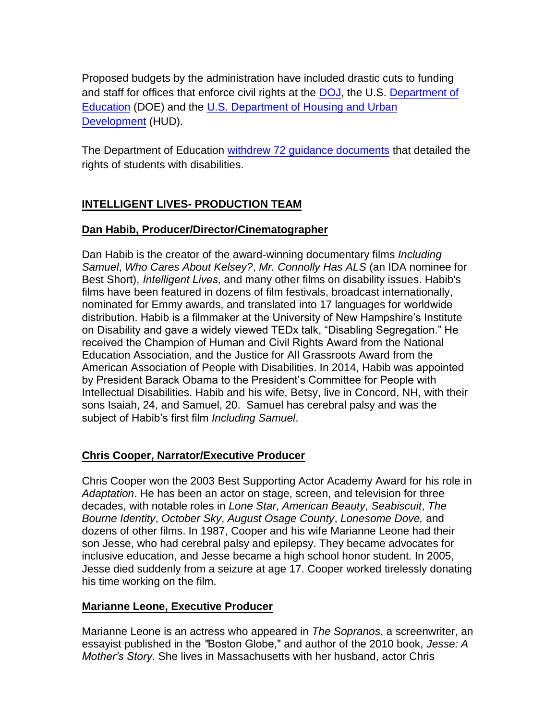Proposed budgets by the administration have included drastic cuts to funding and staff for offices that enforce civil rights at the [DOJ,](https://www.justice.gov/jmd/page/file/968381/download) the U.S. Department of [Education](https://www2.ed.gov/about/overview/budget/budget18/justifications/z-ocr.pdf) (DOE) and the [U.S. Department of Housing and Urban](https://www.whitehouse.gov/sites/whitehouse.gov/files/omb/budget/fy2018/budget.pdf) [Development](https://www.whitehouse.gov/sites/whitehouse.gov/files/omb/budget/fy2018/budget.pdf) (HUD).

The Department of Education [withdrew 72 guidance documents](https://www.washingtonpost.com/news/education/wp/2017/10/23/the-education-department-phased-out-72-policy-documents-for-disabled-students-heres-why/?tid=a_mcntx&utm_term=.88e240808d35) that detailed the rights of students with disabilities.

# **INTELLIGENT LIVES- PRODUCTION TEAM**

# **Dan Habib, Producer/Director/Cinematographer**

Dan Habib is the creator of the award-winning documentary films *Including Samuel*, *Who Cares About Kelsey?*, *Mr. Connolly Has ALS* (an IDA nominee for Best Short), *Intelligent Lives*, and many other films on disability issues. Habib's films have been featured in dozens of film festivals, broadcast internationally, nominated for Emmy awards, and translated into 17 languages for worldwide distribution. Habib is a filmmaker at the University of New Hampshire's Institute on Disability and gave a widely viewed TEDx talk, "Disabling Segregation." He received the Champion of Human and Civil Rights Award from the National Education Association, and the Justice for All Grassroots Award from the American Association of People with Disabilities. In 2014, Habib was appointed by President Barack Obama to the President's Committee for People with Intellectual Disabilities. Habib and his wife, Betsy, live in Concord, NH, with their sons Isaiah, 24, and Samuel, 20. Samuel has cerebral palsy and was the subject of Habib's first film *Including Samuel*.

# **Chris Cooper, Narrator/Executive Producer**

Chris Cooper won the 2003 Best Supporting Actor Academy Award for his role in *Adaptation*. He has been an actor on stage, screen, and television for three decades, with notable roles in *Lone Star*, *American Beauty*, *Seabiscuit*, *The Bourne Identity*, *October Sky*, *August Osage County*, *Lonesome Dove,* and dozens of other films. In 1987, Cooper and his wife Marianne Leone had their son Jesse, who had cerebral palsy and epilepsy. They became advocates for inclusive education, and Jesse became a high school honor student. In 2005, Jesse died suddenly from a seizure at age 17. Cooper worked tirelessly donating his time working on the film.

# **Marianne Leone, Executive Producer**

Marianne Leone is an actress who appeared in *The Sopranos*, a screenwriter, an essayist published in the *"*Boston Globe," and author of the 2010 book, *Jesse: A Mother's Story*. She lives in Massachusetts with her husband, actor Chris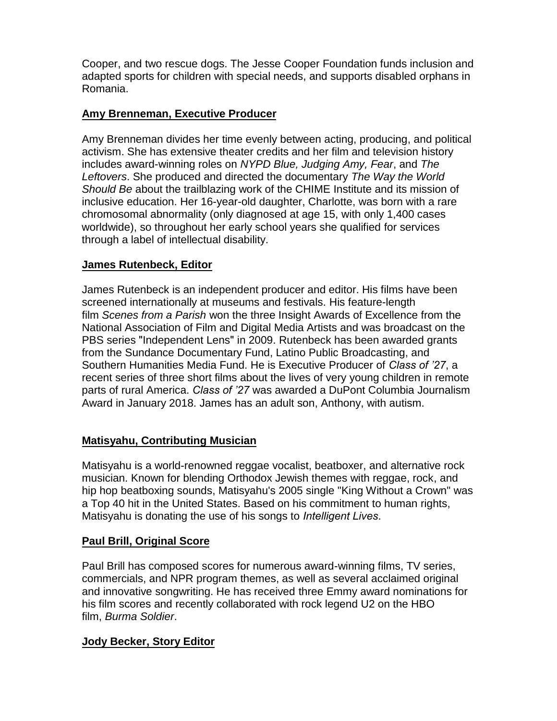Cooper, and two rescue dogs. The Jesse Cooper Foundation funds inclusion and adapted sports for children with special needs, and supports disabled orphans in Romania.

### **Amy Brenneman, Executive Producer**

Amy Brenneman divides her time evenly between acting, producing, and political activism. She has extensive theater credits and her film and television history includes award-winning roles on *NYPD Blue, Judging Amy, Fear*, and *The Leftovers*. She produced and directed the documentary *The Way the World Should Be* about the trailblazing work of the CHIME Institute and its mission of inclusive education. Her 16-year-old daughter, Charlotte, was born with a rare chromosomal abnormality (only diagnosed at age 15, with only 1,400 cases worldwide), so throughout her early school years she qualified for services through a label of intellectual disability.

### **James Rutenbeck, Editor**

James Rutenbeck is an independent producer and editor. His films have been screened internationally at museums and festivals. His feature-length film *Scenes from a Parish* won the three Insight Awards of Excellence from the National Association of Film and Digital Media Artists and was broadcast on the PBS series "Independent Lens" in 2009. Rutenbeck has been awarded grants from the Sundance Documentary Fund, Latino Public Broadcasting, and Southern Humanities Media Fund. He is Executive Producer of *Class of '27*, a recent series of three short films about the lives of very young children in remote parts of rural America. *Class of '27* was awarded a DuPont Columbia Journalism Award in January 2018. James has an adult son, Anthony, with autism.

#### **Matisyahu, Contributing Musician**

Matisyahu is a world-renowned reggae vocalist, beatboxer, and alternative rock musician. Known for blending Orthodox Jewish themes with reggae, rock, and hip hop beatboxing sounds, Matisyahu's 2005 single "King Without a Crown" was a Top 40 hit in the United States. Based on his commitment to human rights, Matisyahu is donating the use of his songs to *Intelligent Lives*.

#### **Paul Brill, Original Score**

Paul Brill has composed scores for numerous award-winning films, TV series, commercials, and NPR program themes, as well as several acclaimed original and innovative songwriting. He has received three Emmy award nominations for his film scores and recently collaborated with rock legend U2 on the HBO film, *Burma Soldier*.

#### **Jody Becker, Story Editor**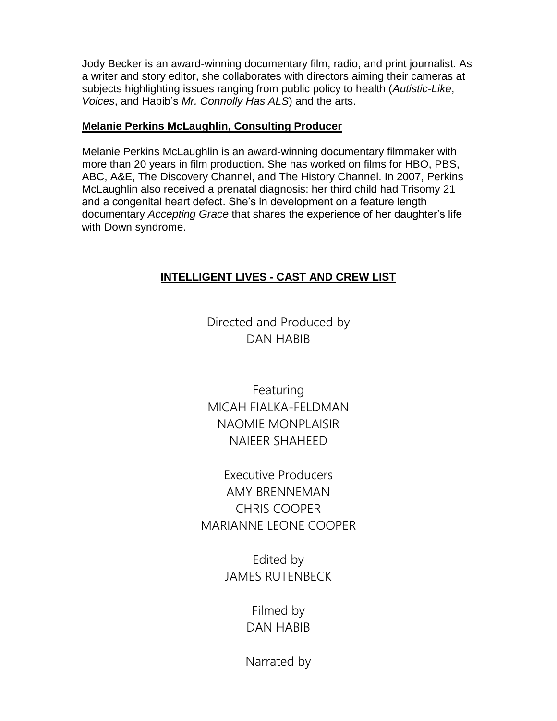Jody Becker is an award-winning documentary film, radio, and print journalist. As a writer and story editor, she collaborates with directors aiming their cameras at subjects highlighting issues ranging from public policy to health (*Autistic-Like*, *Voices*, and Habib's *Mr. Connolly Has ALS*) and the arts.

### **Melanie Perkins McLaughlin, Consulting Producer**

Melanie Perkins McLaughlin is an award-winning documentary filmmaker with more than 20 years in film production. She has worked on films for HBO, PBS, ABC, A&E, The Discovery Channel, and The History Channel. In 2007, Perkins McLaughlin also received a prenatal diagnosis: her third child had Trisomy 21 and a congenital heart defect. She's in development on a feature length documentary *Accepting Grace* that shares the experience of her daughter's life with Down syndrome.

# **INTELLIGENT LIVES - CAST AND CREW LIST**

Directed and Produced by DAN HABIB

Featuring MICAH FIALKA-FELDMAN NAOMIE MONPLAISIR NAIEER SHAHEED

Executive Producers AMY BRENNEMAN CHRIS COOPER MARIANNE LEONE COOPER

> Edited by JAMES RUTENBECK

> > Filmed by DAN HABIB

Narrated by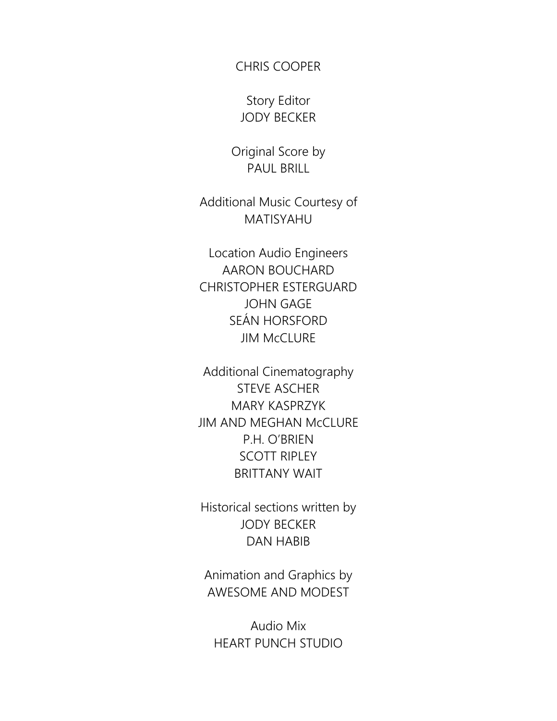# CHRIS COOPER

Story Editor JODY BECKER

Original Score by PAUL BRILL

Additional Music Courtesy of MATISYAHU

Location Audio Engineers AARON BOUCHARD CHRISTOPHER ESTERGUARD JOHN GAGE SEÁN HORSFORD JIM McCLURE

Additional Cinematography STEVE ASCHER MARY KASPRZYK JIM AND MEGHAN McCLURE P.H. O'BRIEN SCOTT RIPLEY BRITTANY WAIT

Historical sections written by JODY BECKER DAN HABIB

Animation and Graphics by AWESOME AND MODEST

Audio Mix HEART PUNCH STUDIO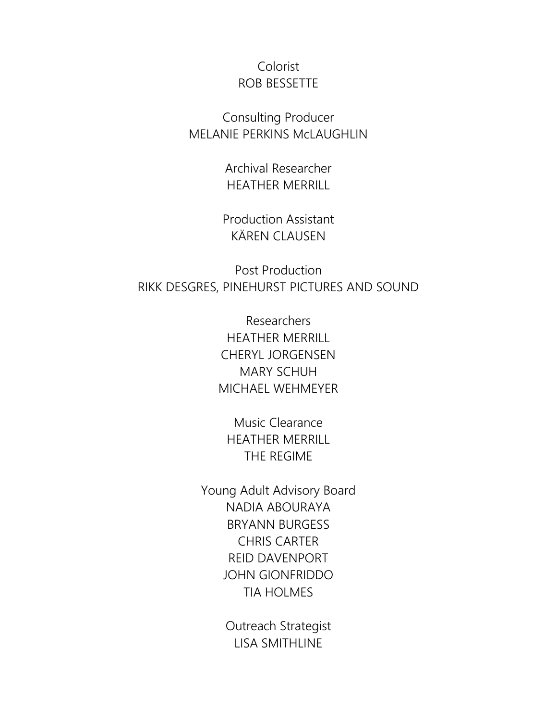# Colorist ROB BESSETTE

Consulting Producer MELANIE PERKINS McLAUGHLIN

> Archival Researcher HEATHER MERRILL

Production Assistant KÄREN CLAUSEN

Post Production RIKK DESGRES, PINEHURST PICTURES AND SOUND

> Researchers HEATHER MERRILL CHERYL JORGENSEN MARY SCHUH MICHAEL WEHMEYER

Music Clearance HEATHER MERRILL THE REGIME

Young Adult Advisory Board NADIA ABOURAYA BRYANN BURGESS CHRIS CARTER REID DAVENPORT JOHN GIONFRIDDO TIA HOLMES

> Outreach Strategist LISA SMITHLINE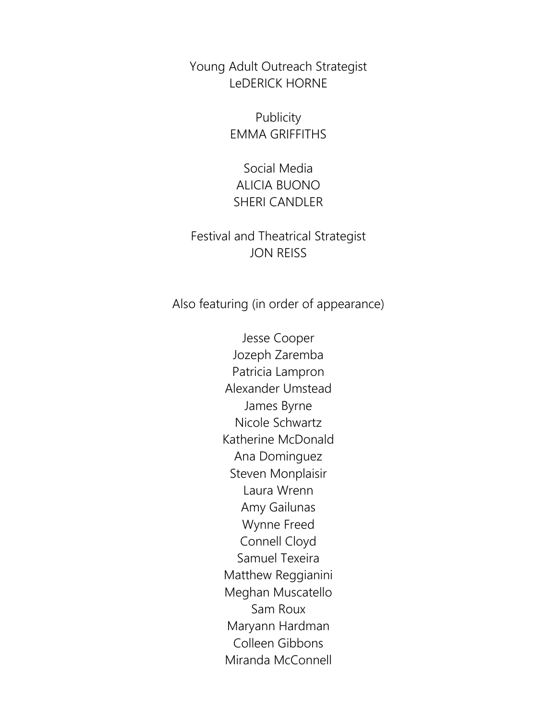Young Adult Outreach Strategist LeDERICK HORNE

> Publicity EMMA GRIFFITHS

Social Media ALICIA BUONO SHERI CANDLER

Festival and Theatrical Strategist JON REISS

Also featuring (in order of appearance)

Jesse Cooper Jozeph Zaremba Patricia Lampron Alexander Umstead James Byrne Nicole Schwartz Katherine McDonald Ana Dominguez Steven Monplaisir Laura Wrenn Amy Gailunas Wynne Freed Connell Cloyd Samuel Texeira Matthew Reggianini Meghan Muscatello Sam Roux Maryann Hardman Colleen Gibbons Miranda McConnell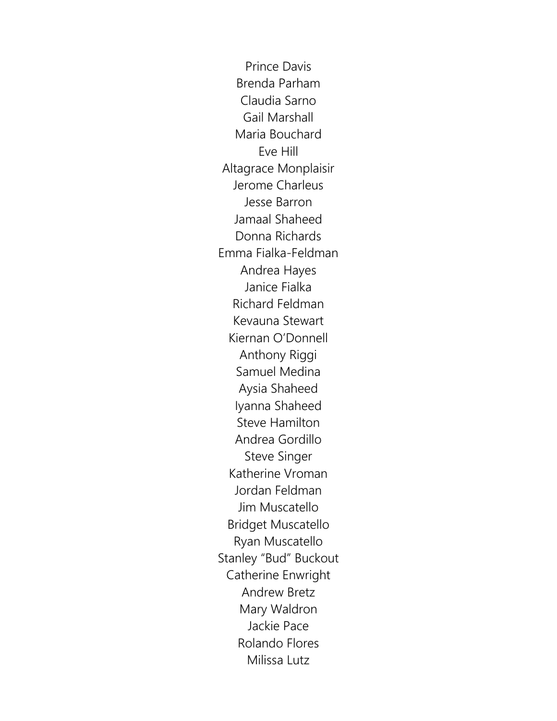Prince Davis Brenda Parham Claudia Sarno Gail Marshall Maria Bouchard Eve Hill Altagrace Monplaisir Jerome Charleus Jesse Barron Jamaal Shaheed Donna Richards Emma Fialka-Feldman Andrea Hayes Janice Fialka Richard Feldman Kevauna Stewart Kiernan O'Donnell Anthony Riggi Samuel Medina Aysia Shaheed Iyanna Shaheed Steve Hamilton Andrea Gordillo Steve Singer Katherine Vroman Jordan Feldman Jim Muscatello Bridget Muscatello Ryan Muscatello Stanley "Bud" Buckout Catherine Enwright Andrew Bretz Mary Waldron Jackie Pace Rolando Flores Milissa Lutz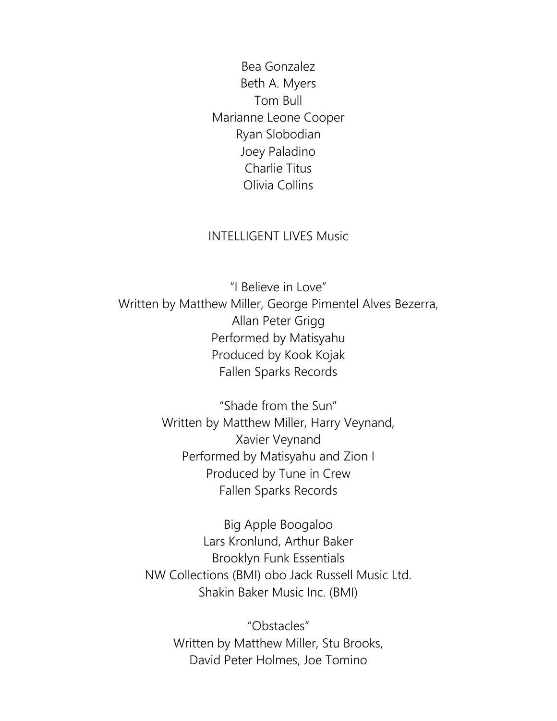Bea Gonzalez Beth A. Myers Tom Bull Marianne Leone Cooper Ryan Slobodian Joey Paladino Charlie Titus Olivia Collins

# INTELLIGENT LIVES Music

"I Believe in Love" Written by Matthew Miller, George Pimentel Alves Bezerra, Allan Peter Grigg Performed by Matisyahu Produced by Kook Kojak Fallen Sparks Records

> "Shade from the Sun" Written by Matthew Miller, Harry Veynand, Xavier Veynand Performed by Matisyahu and Zion I Produced by Tune in Crew Fallen Sparks Records

Big Apple Boogaloo Lars Kronlund, Arthur Baker Brooklyn Funk Essentials NW Collections (BMI) obo Jack Russell Music Ltd. Shakin Baker Music Inc. (BMI)

> "Obstacles" Written by Matthew Miller, Stu Brooks, David Peter Holmes, Joe Tomino